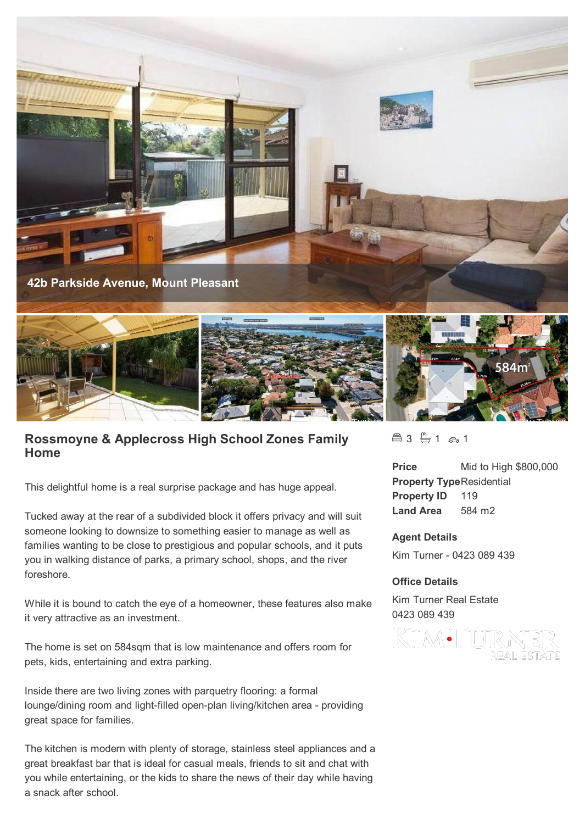

## **Rossmoyne & Applecross High School Zones Family Home**

This delightful home is a real surprise package and has huge appeal.

Tucked away at the rear of a subdivided block it offers privacy and will suit someone looking to downsize to something easier to manage as well as families wanting to be close to prestigious and popular schools, and it puts you in walking distance of parks, a primary school, shops, and the river foreshore.

While it is bound to catch the eye of a homeowner, these features also make it very attractive as an investment.

The home is set on 584sqm that is low maintenance and offers room for pets, kids, entertaining and extra parking.

Inside there are two living zones with parquetry flooring: a formal lounge/dining room and light-filled open-plan living/kitchen area - providing great space for families.

The kitchen is modern with plenty of storage, stainless steel appliances and a great breakfast bar that is ideal for casual meals, friends to sit and chat with you while entertaining, or the kids to share the news of their day while having a snack after school.

 $43 + 1 \approx 1$ 

**Price** Mid to High \$800,000 **Property Type**Residential **Property ID** 119 **Land Area** 584 m2

## **Agent Details**

Kim Turner - 0423 089 439

## **Office Details**

Kim Turner Real Estate 0423 089 439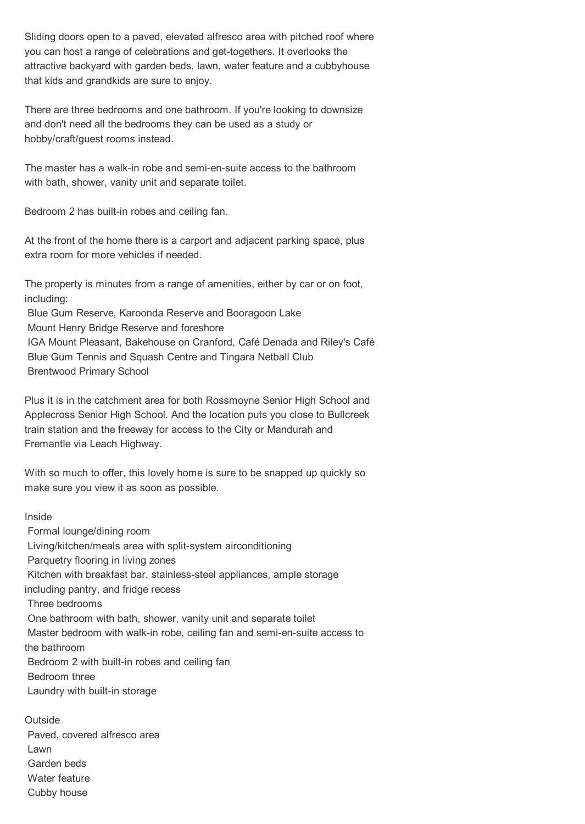Sliding doors open to a paved, elevated alfresco area with pitched roof where you can host a range of celebrations and get-togethers. It overlooks the attractive backyard with garden beds, lawn, water feature and a cubbyhouse that kids and grandkids are sure to enjoy.

There are three bedrooms and one bathroom. If you're looking to downsize and don't need all the bedrooms they can be used as a study or hobby/craft/guest rooms instead.

The master has a walk-in robe and semi-en-suite access to the bathroom with bath, shower, vanity unit and separate toilet.

Bedroom 2 has built-in robes and ceiling fan.

At the front of the home there is a carport and adjacent parking space, plus extra room for more vehicles if needed.

The property is minutes from a range of amenities, either by car or on foot, including:

Blue Gum Reserve, Karoonda Reserve and Booragoon Lake

Mount Henry Bridge Reserve and foreshore

 IGA Mount Pleasant, Bakehouse on Cranford, Café Denada and Riley's Café Blue Gum Tennis and Squash Centre and Tingara Netball Club Brentwood Primary School

Plus it is in the catchment area for both Rossmoyne Senior High School and Applecross Senior High School. And the location puts you close to Bullcreek train station and the freeway for access to the City or Mandurah and Fremantle via Leach Highway.

With so much to offer, this lovely home is sure to be snapped up quickly so make sure you view it as soon as possible.

Inside

 Formal lounge/dining room Living/kitchen/meals area with split-system airconditioning Parquetry flooring in living zones Kitchen with breakfast bar, stainless-steel appliances, ample storage including pantry, and fridge recess Three bedrooms One bathroom with bath, shower, vanity unit and separate toilet Master bedroom with walk-in robe, ceiling fan and semi-en-suite access to the bathroom Bedroom 2 with built-in robes and ceiling fan Bedroom three Laundry with built-in storage **Outside**  Paved, covered alfresco area Lawn Garden beds

Water feature

Cubby house